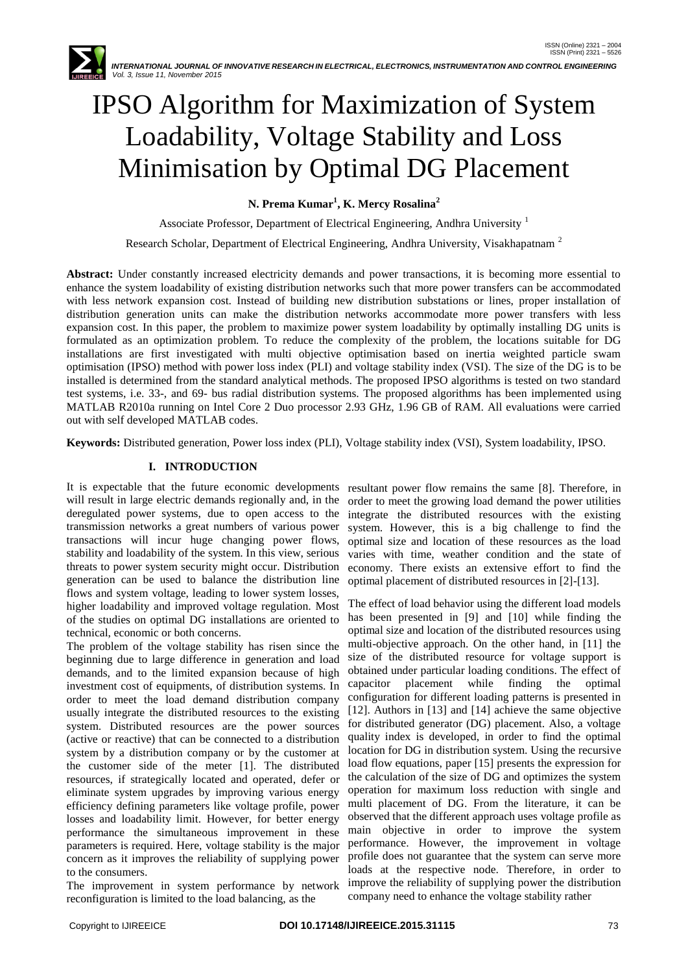*INTERNATIONAL JOURNAL OF INNOVATIVE RESEARCH IN ELECTRICAL, ELECTRONICS, INSTRUMENTATION AND CONTROL ENGINEERING Vol. 3, Issue 11, November 2015*

# IPSO Algorithm for Maximization of System Loadability, Voltage Stability and Loss Minimisation by Optimal DG Placement

**N. Prema Kumar<sup>1</sup> , K. Mercy Rosalina<sup>2</sup>**

Associate Professor, Department of Electrical Engineering, Andhra University <sup>1</sup>

Research Scholar, Department of Electrical Engineering, Andhra University, Visakhapatnam<sup>2</sup>

**Abstract:** Under constantly increased electricity demands and power transactions, it is becoming more essential to enhance the system loadability of existing distribution networks such that more power transfers can be accommodated with less network expansion cost. Instead of building new distribution substations or lines, proper installation of distribution generation units can make the distribution networks accommodate more power transfers with less expansion cost. In this paper, the problem to maximize power system loadability by optimally installing DG units is formulated as an optimization problem. To reduce the complexity of the problem, the locations suitable for DG installations are first investigated with multi objective optimisation based on inertia weighted particle swam optimisation (IPSO) method with power loss index (PLI) and voltage stability index (VSI). The size of the DG is to be installed is determined from the standard analytical methods. The proposed IPSO algorithms is tested on two standard test systems, i.e. 33-, and 69- bus radial distribution systems. The proposed algorithms has been implemented using MATLAB R2010a running on Intel Core 2 Duo processor 2.93 GHz, 1.96 GB of RAM. All evaluations were carried out with self developed MATLAB codes.

**Keywords:** Distributed generation, Power loss index (PLI), Voltage stability index (VSI), System loadability, IPSO.

# **I. INTRODUCTION**

It is expectable that the future economic developments will result in large electric demands regionally and, in the deregulated power systems, due to open access to the transmission networks a great numbers of various power transactions will incur huge changing power flows, stability and loadability of the system. In this view, serious threats to power system security might occur. Distribution generation can be used to balance the distribution line flows and system voltage, leading to lower system losses, higher loadability and improved voltage regulation. Most of the studies on optimal DG installations are oriented to technical, economic or both concerns.

The problem of the voltage stability has risen since the beginning due to large difference in generation and load demands, and to the limited expansion because of high investment cost of equipments, of distribution systems. In order to meet the load demand distribution company usually integrate the distributed resources to the existing system. Distributed resources are the power sources (active or reactive) that can be connected to a distribution system by a distribution company or by the customer at the customer side of the meter [1]. The distributed resources, if strategically located and operated, defer or eliminate system upgrades by improving various energy efficiency defining parameters like voltage profile, power losses and loadability limit. However, for better energy performance the simultaneous improvement in these parameters is required. Here, voltage stability is the major concern as it improves the reliability of supplying power to the consumers.

The improvement in system performance by network reconfiguration is limited to the load balancing, as the

resultant power flow remains the same [8]. Therefore, in order to meet the growing load demand the power utilities integrate the distributed resources with the existing system. However, this is a big challenge to find the optimal size and location of these resources as the load varies with time, weather condition and the state of economy. There exists an extensive effort to find the optimal placement of distributed resources in [2]-[13].

The effect of load behavior using the different load models has been presented in [9] and [10] while finding the optimal size and location of the distributed resources using multi-objective approach. On the other hand, in [11] the size of the distributed resource for voltage support is obtained under particular loading conditions. The effect of capacitor placement while finding the optimal configuration for different loading patterns is presented in [12]. Authors in [13] and [14] achieve the same objective for distributed generator (DG) placement. Also, a voltage quality index is developed, in order to find the optimal location for DG in distribution system. Using the recursive load flow equations, paper [15] presents the expression for the calculation of the size of DG and optimizes the system operation for maximum loss reduction with single and multi placement of DG. From the literature, it can be observed that the different approach uses voltage profile as main objective in order to improve the system performance. However, the improvement in voltage profile does not guarantee that the system can serve more loads at the respective node. Therefore, in order to improve the reliability of supplying power the distribution company need to enhance the voltage stability rather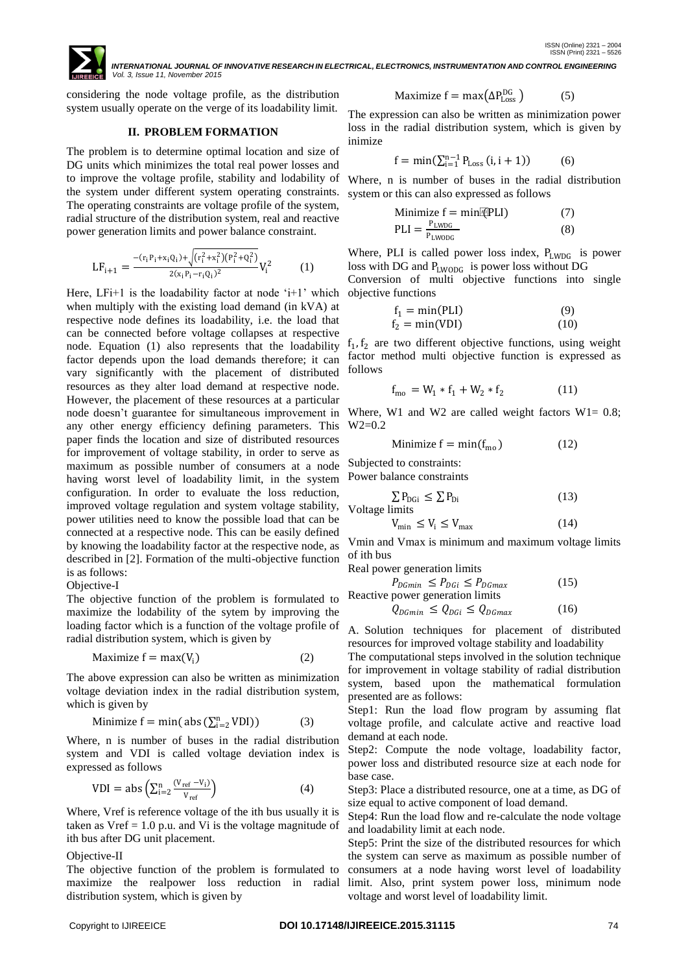

 *INTERNATIONAL JOURNAL OF INNOVATIVE RESEARCH IN ELECTRICAL, ELECTRONICS, INSTRUMENTATION AND CONTROL ENGINEERING Vol. 3, Issue 11, November 2015*

considering the node voltage profile, as the distribution system usually operate on the verge of its loadability limit.

#### **II. PROBLEM FORMATION**

The problem is to determine optimal location and size of DG units which minimizes the total real power losses and to improve the voltage profile, stability and lodability of the system under different system operating constraints. The operating constraints are voltage profile of the system, radial structure of the distribution system, real and reactive power generation limits and power balance constraint.

$$
LF_{i+1} = \frac{-(r_i P_i + x_i Q_i) + \sqrt{(r_i^2 + x_i^2)(P_i^2 + Q_i^2)}}{2(x_i P_i - r_i Q_i)^2} V_i^2
$$
 (1)

Here,  $LFi+1$  is the loadability factor at node ' $i+1$ ' which when multiply with the existing load demand (in kVA) at respective node defines its loadability, i.e. the load that can be connected before voltage collapses at respective node. Equation (1) also represents that the loadability factor depends upon the load demands therefore; it can vary significantly with the placement of distributed resources as they alter load demand at respective node. However, the placement of these resources at a particular node doesn"t guarantee for simultaneous improvement in any other energy efficiency defining parameters. This paper finds the location and size of distributed resources for improvement of voltage stability, in order to serve as maximum as possible number of consumers at a node having worst level of loadability limit, in the system configuration. In order to evaluate the loss reduction, improved voltage regulation and system voltage stability, power utilities need to know the possible load that can be connected at a respective node. This can be easily defined by knowing the loadability factor at the respective node, as described in [2]. Formation of the multi-objective function is as follows:

# Objective-I

The objective function of the problem is formulated to maximize the lodability of the sytem by improving the loading factor which is a function of the voltage profile of radial distribution system, which is given by

$$
Maximize f = max(Vi)
$$
 (2)

The above expression can also be written as minimization voltage deviation index in the radial distribution system, which is given by

$$
Minimize f = min(\text{abs}(\sum_{i=2}^{n} VDI))
$$
 (3)

Where, n is number of buses in the radial distribution system and VDI is called voltage deviation index is expressed as follows

$$
VDI = abs\left(\sum_{i=2}^{n} \frac{(V_{ref} - V_i)}{V_{ref}}\right)
$$
 (4)

Where, Vref is reference voltage of the ith bus usually it is taken as  $Vref = 1.0$  p.u. and Vi is the voltage magnitude of ith bus after DG unit placement.

#### Objective-II

The objective function of the problem is formulated to maximize the realpower loss reduction in radial distribution system, which is given by

$$
Maximize f = max(\Delta P_{Loss}^{DG})
$$
 (5)

The expression can also be written as minimization power loss in the radial distribution system, which is given by inimize

$$
f = \min(\sum_{i=1}^{n-1} P_{Loss}(i, i+1))
$$
 (6)

Where, n is number of buses in the radial distribution system or this can also expressed as follows

$$
\begin{array}{ll}\n\text{Minimize } f = \min[\text{[PLI]} & (7) \\
\text{PLI} = \frac{\text{P}_{\text{LWDG}}}{\text{P}_{\text{LWDDG}}} & (8)\n\end{array}
$$

Where, PLI is called power loss index,  $P_{LWDG}$  is power loss with DG and PLWODG is power loss without DG Conversion of multi objective functions into single objective functions

$$
f_1 = \min(\text{PLI}) \tag{9}
$$
  
\n
$$
f_2 = \min(\text{VDI}) \tag{10}
$$

 $f_1, f_2$  are two different objective functions, using weight factor method multi objective function is expressed as follows

$$
f_{\text{mo}} = W_1 * f_1 + W_2 * f_2 \tag{11}
$$

Where, W1 and W2 are called weight factors  $W1 = 0.8$ ;  $W2=0.2$ 

$$
Minimize f = min(fmo)
$$
 (12)

Subjected to constraints:

Power balance constraints

$$
\sum P_{\text{DGi}} \le \sum P_{\text{Di}} \tag{13}
$$
\n
$$
\text{Voltage limits}
$$

$$
V_{\min} \le V_i \le V_{\max} \tag{14}
$$

Vmin and Vmax is minimum and maximum voltage limits of ith bus

Real power generation limits

 $P_{DGmin} \leq P_{DGi} \leq P_{DGmax}$  (15) Reactive power generation limit

$$
Q_{DGmin} \leq Q_{DGi} \leq Q_{DGmax} \tag{16}
$$

A. Solution techniques for placement of distributed

resources for improved voltage stability and loadability The computational steps involved in the solution technique for improvement in voltage stability of radial distribution system, based upon the mathematical formulation presented are as follows:

Step1: Run the load flow program by assuming flat voltage profile, and calculate active and reactive load demand at each node.

Step2: Compute the node voltage, loadability factor, power loss and distributed resource size at each node for base case.

Step3: Place a distributed resource, one at a time, as DG of size equal to active component of load demand.

Step4: Run the load flow and re-calculate the node voltage and loadability limit at each node.

Step5: Print the size of the distributed resources for which the system can serve as maximum as possible number of consumers at a node having worst level of loadability limit. Also, print system power loss, minimum node voltage and worst level of loadability limit.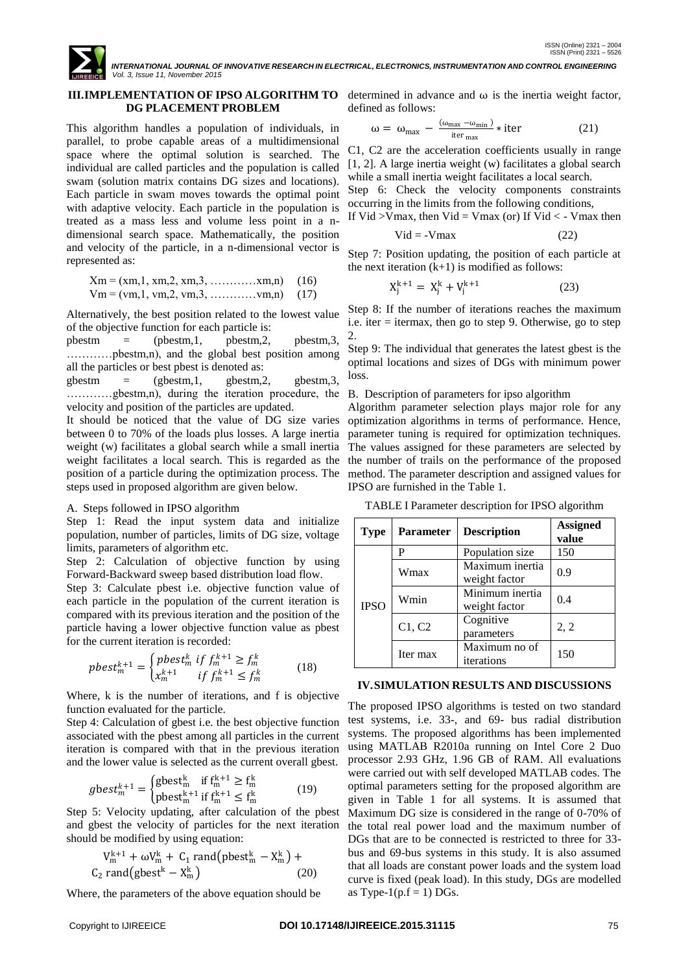

# **III.IMPLEMENTATION OF IPSO ALGORITHM TO** determined in advance and  $\omega$  is the inertia weight factor, **DG PLACEMENT PROBLEM**

This algorithm handles a population of individuals, in parallel, to probe capable areas of a multidimensional space where the optimal solution is searched. The individual are called particles and the population is called swam (solution matrix contains DG sizes and locations). Each particle in swam moves towards the optimal point with adaptive velocity. Each particle in the population is treated as a mass less and volume less point in a ndimensional search space. Mathematically, the position and velocity of the particle, in a n-dimensional vector is represented as:

$$
Xm = (xm, 1, xm, 2, xm, 3, \dots, xm, n) \quad (16)
$$
  

$$
Vm = (vm, 1, vw, 2, vw, 3, \dots, ym, n) \quad (17)
$$

Alternatively, the best position related to the lowest value of the objective function for each particle is:

pbestm  $=$  (pbestm,1, pbestm,2, pbestm,3, …………pbestm,n), and the global best position among all the particles or best pbest is denoted as:

 $gbestm = (gbestm,1, bgestm,2, gbestm,3,$ …………gbestm,n), during the iteration procedure, the B. Description of parameters for ipso algorithm velocity and position of the particles are updated.

It should be noticed that the value of DG size varies between 0 to 70% of the loads plus losses. A large inertia weight (w) facilitates a global search while a small inertia weight facilitates a local search. This is regarded as the position of a particle during the optimization process. The steps used in proposed algorithm are given below.

# A. Steps followed in IPSO algorithm

Step 1: Read the input system data and initialize population, number of particles, limits of DG size, voltage limits, parameters of algorithm etc.

Step 2: Calculation of objective function by using Forward-Backward sweep based distribution load flow.

Step 3: Calculate pbest i.e. objective function value of each particle in the population of the current iteration is compared with its previous iteration and the position of the particle having a lower objective function value as pbest for the current iteration is recorded:

$$
pbest_m^{k+1} = \begin{cases} pbest_m^k & \text{if } f_m^{k+1} \ge f_m^k\\ x_m^{k+1} & \text{if } f_m^{k+1} \le f_m^k \end{cases} \tag{18}
$$

Where, k is the number of iterations, and f is objective function evaluated for the particle.

Step 4: Calculation of gbest i.e. the best objective function associated with the pbest among all particles in the current iteration is compared with that in the previous iteration and the lower value is selected as the current overall gbest.

$$
g\text{best}_{m}^{k+1} = \begin{cases} \text{gbest}_{m}^{k} & \text{if } f_{m}^{k+1} \ge f_{m}^{k} \\ \text{pbest}_{m}^{k+1} & \text{if } f_{m}^{k+1} \le f_{m}^{k} \end{cases} \tag{19}
$$

Step 5: Velocity updating, after calculation of the pbest and gbest the velocity of particles for the next iteration should be modified by using equation:

$$
V_{\text{m}}^{k+1} + \omega V_{\text{m}}^{k} + C_{1} \text{ rand}(\text{pbest}_{\text{m}}^{k} - X_{\text{m}}^{k}) + C_{2} \text{ rand}(\text{gbest}^{k} - X_{\text{m}}^{k}) \qquad (20)
$$

Where, the parameters of the above equation should be

defined as follows:

$$
\omega = \omega_{\text{max}} - \frac{(\omega_{\text{max}} - \omega_{\text{min}})}{\text{iter}_{\text{max}}} * \text{iter}
$$
 (21)

C1, C2 are the acceleration coefficients usually in range [1, 2]. A large inertia weight (w) facilitates a global search while a small inertia weight facilitates a local search.

Step 6: Check the velocity components constraints occurring in the limits from the following conditions, If Vid  $>$ Vmax, then Vid = Vmax (or) If Vid  $<$  - Vmax then

$$
V = V \text{ max}, \text{ min. } V \text{ max } (0, 1) \text{ max } (0, 2)
$$
\n
$$
V = V \text{ max}
$$
\n
$$
(22)
$$

Step 7: Position updating, the position of each particle at the next iteration  $(k+1)$  is modified as follows:

$$
X_j^{k+1} = X_j^k + V_j^{k+1}
$$
 (23)

Step 8: If the number of iterations reaches the maximum i.e. iter = itermax, then go to step 9. Otherwise, go to step 2.

Step 9: The individual that generates the latest gbest is the optimal locations and sizes of DGs with minimum power loss.

Algorithm parameter selection plays major role for any optimization algorithms in terms of performance. Hence, parameter tuning is required for optimization techniques. The values assigned for these parameters are selected by the number of trails on the performance of the proposed method. The parameter description and assigned values for IPSO are furnished in the Table 1.

TABLE I Parameter description for IPSO algorithm

| <b>Type</b> | <b>Parameter</b> | <b>Description</b>               | <b>Assigned</b><br>value |  |
|-------------|------------------|----------------------------------|--------------------------|--|
| <b>IPSO</b> | P                | Population size                  | 150                      |  |
|             | Wmax             | Maximum inertia<br>weight factor | 0.9                      |  |
|             | Wmin             | Minimum inertia<br>weight factor | 0.4                      |  |
|             | C1, C2           | Cognitive<br>parameters          | 2, 2                     |  |
|             | Iter max         | Maximum no of<br>iterations      | 150                      |  |

# **IV.SIMULATION RESULTS AND DISCUSSIONS**

The proposed IPSO algorithms is tested on two standard test systems, i.e. 33-, and 69- bus radial distribution systems. The proposed algorithms has been implemented using MATLAB R2010a running on Intel Core 2 Duo processor 2.93 GHz, 1.96 GB of RAM. All evaluations were carried out with self developed MATLAB codes. The optimal parameters setting for the proposed algorithm are given in Table 1 for all systems. It is assumed that Maximum DG size is considered in the range of 0-70% of the total real power load and the maximum number of DGs that are to be connected is restricted to three for 33 bus and 69-bus systems in this study. It is also assumed that all loads are constant power loads and the system load curve is fixed (peak load). In this study, DGs are modelled as Type-1( $p.f = 1$ ) DGs.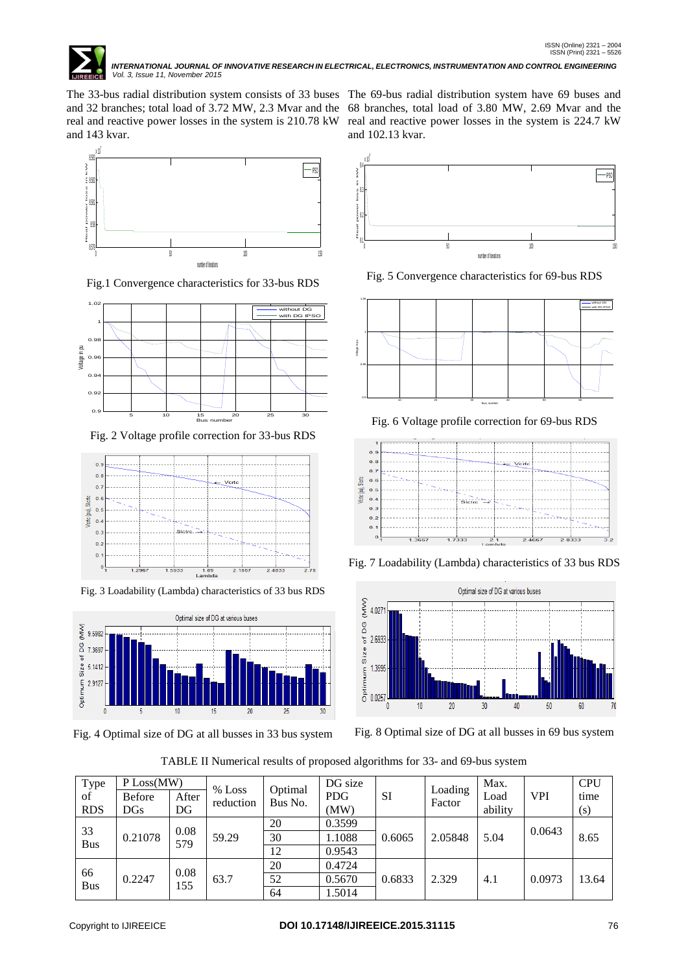

The 33-bus radial distribution system consists of 33 buses The 69-bus radial distribution system have 69 buses and and 32 branches; total load of 3.72 MW, 2.3 Mvar and the 68 branches, total load of 3.80 MW, 2.69 Mvar and the real and reactive power losses in the system is 210.78 kW real and reactive power losses in the system is 224.7 kW and 143 kvar.



Fig.1 Convergence characteristics for 33-bus RDS



Fig. 2 Voltage profile correction for 33-bus RDS



Fig. 3 Loadability (Lambda) characteristics of 33 bus RDS



Fig. 4 Optimal size of DG at all busses in 33 bus system

and 102.13 kvar.



Fig. 5 Convergence characteristics for 69-bus RDS



Fig. 6 Voltage profile correction for 69-bus RDS



Fig. 7 Loadability (Lambda) characteristics of 33 bus RDS



Fig. 8 Optimal size of DG at all busses in 69 bus system

| TABLE II Numerical results of proposed algorithms for 33- and 69-bus system |  |  |
|-----------------------------------------------------------------------------|--|--|
|                                                                             |  |  |

| Type             | P Loss(MW)    |             |                       | Optimal | DG size    |        |                   | Max.    |            | <b>CPU</b> |
|------------------|---------------|-------------|-----------------------|---------|------------|--------|-------------------|---------|------------|------------|
| of               | <b>Before</b> | After       | $%$ Loss<br>reduction | Bus No. | <b>PDG</b> | SI     | Loading<br>Factor | Load    | <b>VPI</b> | time       |
| <b>RDS</b>       | $_{\rm DGs}$  | DG          |                       |         | (MW)       |        |                   | ability |            | (s)        |
|                  | 33<br>0.21078 | 0.08<br>579 | 59.29                 | 20      | 0.3599     | 0.6065 | 2.05848           | 5.04    | 0.0643     |            |
| <b>Bus</b>       |               |             |                       | 30      | 1.1088     |        |                   |         |            | 8.65       |
|                  |               |             |                       | 12      | 0.9543     |        |                   |         |            |            |
| 66<br><b>Bus</b> |               |             | 63.7                  | 20      | 0.4724     | 0.6833 | 2.329             | 4.1     |            |            |
|                  | 0.2247        | 0.08<br>155 |                       | 52      | 0.5670     |        |                   |         | 0.0973     | 13.64      |
|                  |               |             |                       | 64      | 1.5014     |        |                   |         |            |            |